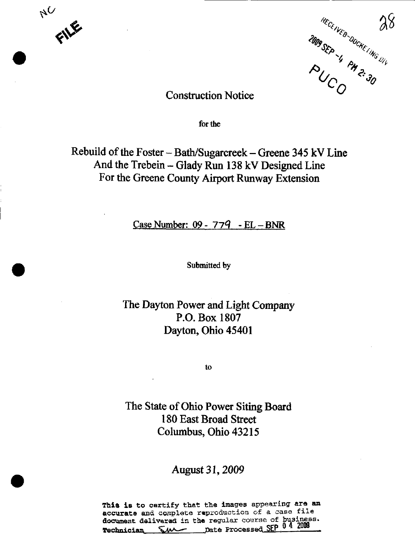



# **Construction Notice**

for the

Rebuild of the Foster - Bath/Sugarcreek - Greene 345 kV Line And the Trebein – Glady Run 138 kV Designed Line For the Greene County Airport Runway Extension

Case Number:  $09 - 779$  - EL - BNR

Submitted by

The Dayton Power and Light Company P.O. Box 1807 Dayton, Ohio 45401

to

The State of Ohio Power Siting Board 180 East Broad Street Columbus, Ohio 43215

August 31, 2009

This is to certify that the images appearing are an accurate and complete reproduction of a case file document delivered in the regular course of business. Technician SM Date Processed SEP 0 4 2009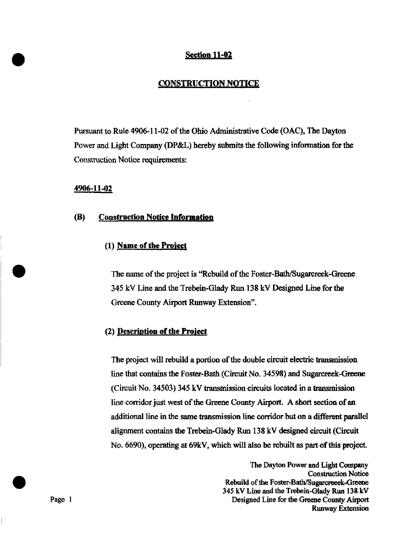## Section 11-02

## CONSTRUCTION NOTICE

Pursuant to Rule 4906-11-02 of the Ohio Administrative Code (OAC), The Dayton Power and Light Company (DP&L) hereby submits the following information for the Construction Notice requirements:

#### 4906-11-02

#### (B) Construction Notice Information

# (1) Name of the Project

The name of the project is "Rebuild of the Foster-Bath/Sugarcreek-Greene" 345 kV Line and the Trebein-Glady Run 138 kV Designed Line for the Greene County Airport Runway Extension".

## (2) Description of the Proiect

The project will rebuild a portion of the double circuit electric transmission line that contains the Foster-Bath (Circuit No. 34598) and Sugarcreek-Greene (Circuit No. 34503) 345 kV transmission circuits located in a transmission line corridor just west of the Greene County Airport. A short section of an additional line in the same transmission line corridor but on a different parallel alignment contains the Trebein-Glady Run 138 kV designed circuit (Circuit No. 6690), operating at 69kV, which will also be rebuilt as part of this project.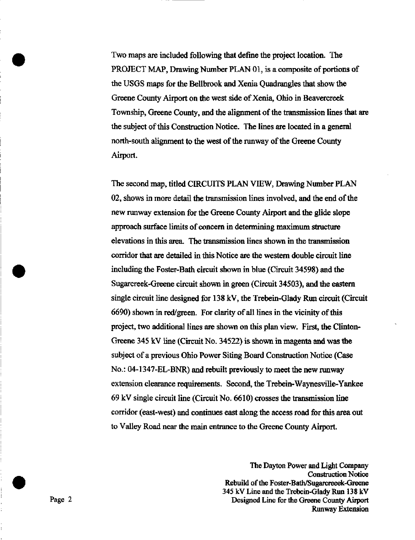Two maps are included following that define the project location. The PROJECT MAP, Drawing Number PLAN 01, is a composite of portions of the USGS maps for the Bellbrook and Xenia Quadrangles that show the Greene County Airport on the west side of Xenia, Ohio in Beavercreek Township, Greene County, and the alignment of the transmission lines that are the subject of this Construction Notice. The lines are located in a general north-south alignment to the west of the runway of the Greene County Airport.

The second map, titled CIRCUITS PLAN VIEW, Drawing Number PLAN 02, shows in more detail the transmission lines involved, and the end of the new runway extension for the Greene County Airport and the glide slope approach surface limits of concern in determining maximum structure elevations in this area. The transmission lines shown in the transmission corridor that are detailed in this Notice are the western double circuit line including the Foster-Bath circuit shown in blue (Circuit 34598) and the Sugarcreek-Greene circuit shown in green (Circuit 34503), and the eastern single circuit line designed for 138 kV, the Trebein-Glady Run circuit (Circuit 6690) shown in red/green. For clarity of all lines in the vicinity of this project, two additional lines are shown on this plan view. First, the Clinton-Greene 345 kV line (Circuit No. 34522) is shown in magenta and was the subject of a previous Ohio Power Siting Board Construction Notice (Case No.: 04-1347-EL-BNR) and rebuilt previously to meet the new runway extension clearance requirements. Second, the Trebein-Waynesville-Yankee 69 kV single circuit line (Circuit No. 6610) crosses the transmission line corridor (east-west) and continues east along the access road for this area out to Valley Road near the main entrance to the Greene County Airport,

The Dayton Power and Light Company Construction Notice Rebuild of the Foster-Bath/Sugarcreeek-Greene 345 kV Line and the Trebein-Glady Run 138 kV Page 2 Designed Line for the Greene County Airport Runway Extension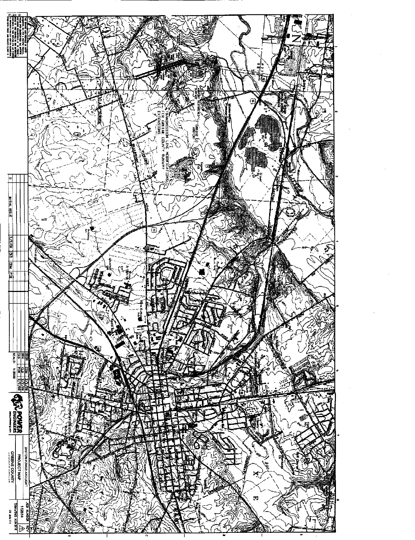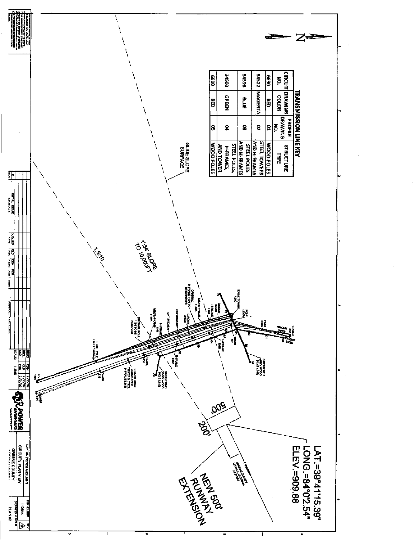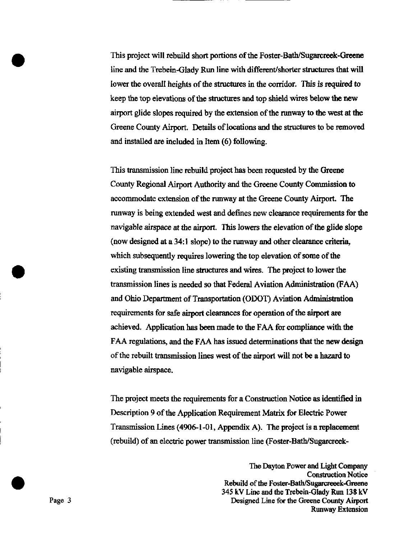This project will rebuild short portions of the Foster-Bath/Sugarcreek-Grecne line and the Trebein-Glady Run line with different/shorter structures that will lower the overall heights of the structures in the corridor. This is required to keep the top elevations of the structures and top shield wires below the new airport glide slopes required by the extension of the runway to the west at the Greene County Airport. Details of locations and the structures to be removed and installed are included in Item (6) following.

This transmission line rebuild project has been requested by the Greene Coimty Regional Airport Authority and the Greene County Commission to accommodate extension of the runway at the Greene County Airport. The runway is being extended west and defines new clearance requirements for the navigable airspace at the airport. This lowers the elevation of the glide slope (now designed at a 34:1 slope) to the runway and other clearance criteria, which subsequently requires lowering the top elevation of some of the existing transmission line structures and wires. The project to lower the transmission lines is needed so that Federal Aviation Administration (FAA) and Ohio Department of Transportation (ODOT) Aviation Administration requirements for safe airport clearances for operation of the airport are achieved. Application has been made to the FAA for compliance with the FAA regulations, and the FAA has issued determinations that the new design of the rebuilt transmission lines west of the airport will not be a hazard to navigable airspace.

The project meets the requirements for a Construction Notice as identified in Description 9 of the Application Requirement Matrix for Electric Power Transmission Lines (4906-1-01, Appendix A). The project is a replacement (rebuild) of an electric power transmission line (Foster-Bath/Sugarcreek-

The Dayton Power and Light Company Construction Notice Rebuild of the Foster-Bath/Sugarcreeek-Greene 345 kV Lme and the Trebein-Glady Run 138 kV Page 3 Designed Line for the Greene County Airport Runway Extension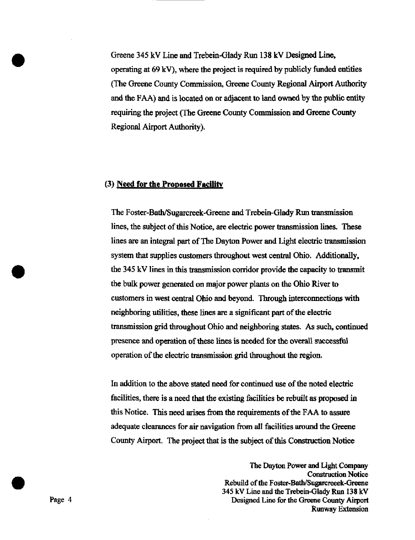Greene 345 kV Line and Trebein-Glady Run 138 kV Designed Line, operating at 69 kV), where the project is required by publicly funded entities (The Greene Coimty Commission, Greene Coimty Regional Airport Atithority and the FAA) and is located on or adjacent to land owned by the public entity requiring the project (The Greene County Commission and Greene County Regional Airport Authority).

### (3) Need for the Proposed Facility

The Foster-Bath/Sugarcreek-Greene and Trebein-Glady Run transmission lines, the subject of this Notice, are electric power transmission lines. These lines are an integral part of The Dayton Power and Light electric transmission system that supplies customers throughout west central Ohio. Additionally, the 345 kV lines in this transmission corridor provide the capacity to transmit the bulk power generated on major power plants on the Ohio River to customers in west central Ohio and beyond. Through interconnections with neighboring utilities, these lines are a significant part of the electric transmission grid throughout Ohio and neighboring states. As such, continued presence and operation of these lines is needed for the overall successful operation of the electric transmission grid throughout the region.

In addition to the above stated need for continued use of the noted electric facilities, there is a need that the existing facilities be rebuilt as proposed in this Notice. This need arises from the requirements of the FAA to assure adequate clearances for air navigation from all facilities around the Greene County Airport. The project that is the subject of this Construction Notice

The Dayton Power and Light Company Construction Notice Rebuild of the Foster-Bath/Sugarcreeek-Greene 345 kV Line and the Trebein-Glady Run 138 kV Page 4 **Designed Line for the Greene County Airport** Runway Extension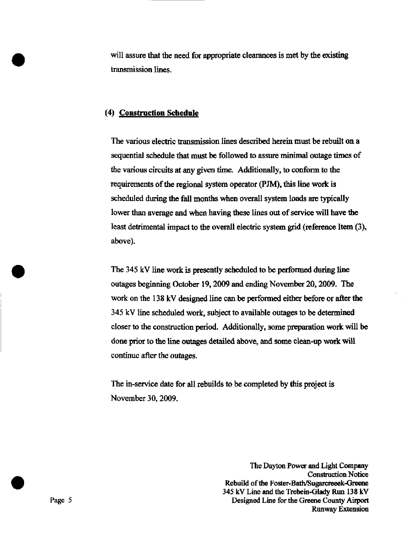will assure that the need for appropriate clearances is met by the existing transmission lines.

## (4) Constmction Schedule

The various electric transmission lines described herein must be rebuilt on a sequential schedule that must be followed to assure minimal outage times of the various circuits at any given time. Additionally, to conform to the requirements of the regional system operator (PJM), this line work is scheduled during the fall months when overall system loads are typically lower than average and when having these lines out of service will have the least detrimental impact to the overall electric system grid (reference Item (3), above).

The 345 kV line work is presentiy scheduled to be performed during line outages beginning October 19, 2009 and ending November 20, 2009. The work on the 138 kV designed line can be performed either before or after the 345 kV line scheduled work, subject to available outages to be determined closer to the construction period. Additionally, some preparation work will be done prior to the line outages detailed above, and some clean-up work will continue after the outages.

The in-service date for all rebuilds to be completed by this project is November 30,2009.

The Dayton Power and Light Company Construction Notice Rebuild of the Foster-Bath/Sugarcreeek-Greene 345 kV Line and the Trebein-Glady Run 138 kV Page 5 Designed Line for the Greene County Airport Runway Extension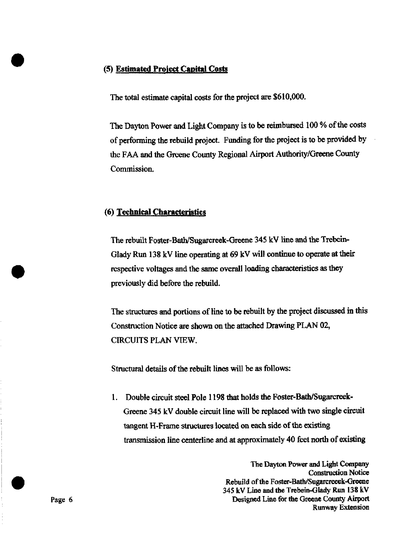#### (5) Estimated Proiect Capital Costs

The total estimate capital costs for the project are \$610,000.

The Dayton Power and Light Company is to be reimbursed 100 % of the costs of performing the rebuild project. Funding for the project is to be provided by the FAA and the Greene County Regional Airport Authority/Greene County Commission.

#### (6) Technical Characteristics

The rebuih Foster-Bath/Sugarcreek-Greene 345 kV line and the Trebein-Glady Run 138 kV line operating at  $69$  kV will continue to operate at their respective voltages and the same overall loadmg characteristics as they previously did before the rebuild.

The structures and portions of line to be rebuilt by the project discussed in this Construction Notice are shown on the attached Drawing PLAN 02, CIRCUITS PLAN VIEW,

Structural details of the rebuih lines will be as follows:

1. Double circuit steel Pole 1198 that holds the Foster-Bath/Sugarcreek-Greene 345 kV double circuit line will be replaced with two single circuit tangent H-Frame structures located on each side of the existing transmission line centerline and at approximately 40 feet north of existing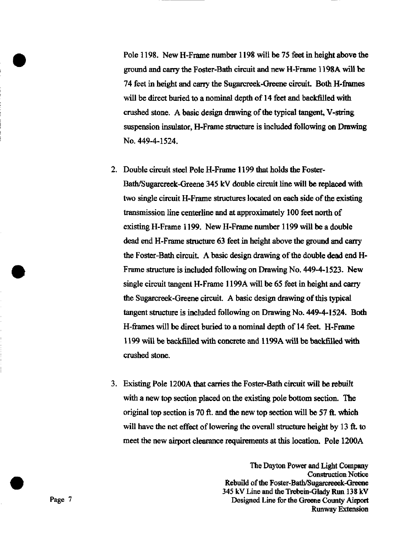Pole 1198. New H-Frame number 1198 will be 75 feet in height above the groimd and carry the Foster-Bath circuit and new H-Frame 1198A will be 74 feet in height and carry the Sugarcreek-Greene circuit. Both H-frames will be direct buried to a nominal depth of 14 feet and backfilled with crushed stone. A basic design drawing of the typical tangent, V-string suspension insulator, H-Frame structure is mcluded following on Drawing No. 449-4-1524.

- 2. Double circuit steel Pole H-Frame 1199 that holds the Foster-Bath/Sugarcreek-Greene 345 kV double circuit line will be replaced with two single circuit H-Frame structures located on each side of the existing transmission line centerline and at approximately 100 feet north of existing H-Frame 1199. New H-Frame number 1199 will be a double dead end H-Frame structure 63 feet in height above the ground and carry the Foster-Bath circuit. A basic design drawing of the double dead end H-Frame structure is included following on Drawing No. 449-4-1523. New single circuit tangent H-Frame 1199A will be 65 feet in height and carry the Sugarcreek-Greene circuit A basic design drawing of this typical tangent structure is included following on Drawing No. 449-4-1524. Both H-frames will be direct buried to a nominal depth of 14 feet. H-Frame 1199 will be backfilled with concrete and 1199A will be backfilled with crushed stone.
- 3. Existing Pole 1200A that carries the Foster-Bath circuit will be rebuilt with a new top section placed on the existing pole bottom section. The origmal top section is 70 ft. and the new top section will be 57 ft. which will have the net effect of lowering the overall structure height by 13 ft. to meet the new airport clearance requirements at this location. Pole 1200A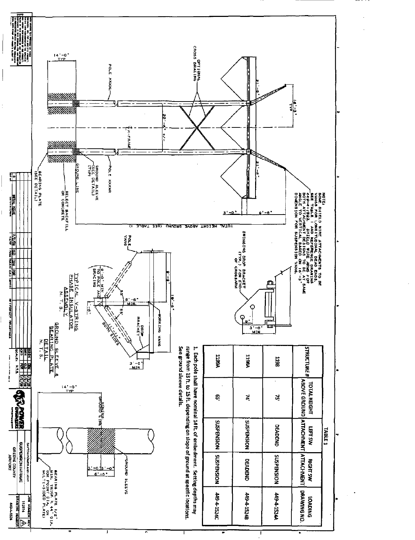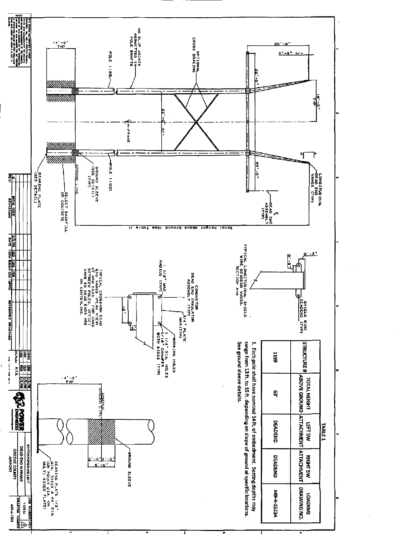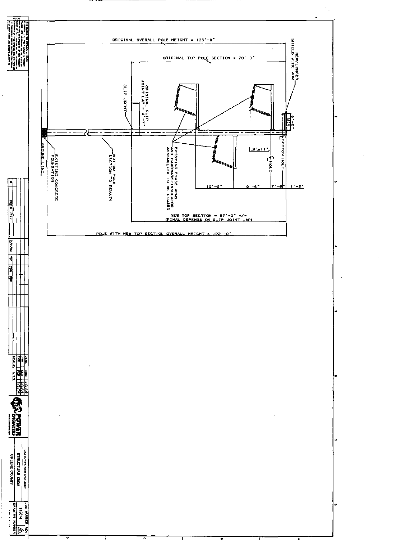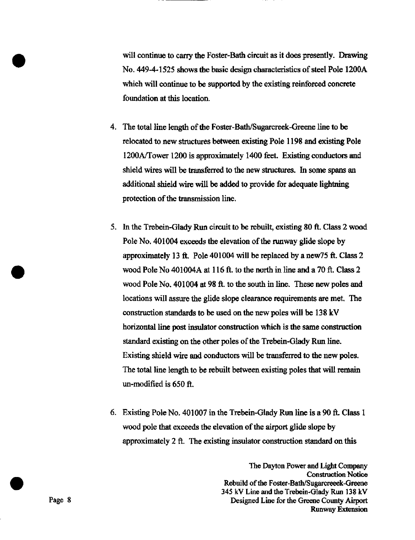will continue to carry the Foster-Bath circuit as it does presentiy. Drawing No. 449-4-1525 shows the basic design characteristics of steel Pole 1200A which will continue to be supported by the existing reinforced concrete foundation at this location.

- 4. The total line length of the Foster-Bath/Sugarcreek-Greene line to be relocated to new structures between existing Pole 1198 and existing Pole 1200A/Tower 1200 is approximately 1400 feet. Existing conductors and shield wires will be transferred to the new structures. In some spans an additional shield wire will be added to provide for adequate lightning protection of the transmission line.
- 5. In the Trebein-Glady Run circuit to be rebuilt, existing 80 ft. Class 2 wood Pole No. 401004 exceeds the elevation of the runway glide slope by approximately 13 ft. Pole 401004 will be replaced by a new  $75$  ft. Class 2 wood Pole No 401004A at 116 ft. to the north in line and a 70 ft. Class 2 wood Pole No. 401004 at 98 ft. to the south in line. These new poles and locations will assure the glide slope clearance requirements are met. The construction standards to be used on the new poles will be 138 kV horizontal line post insulator construction which is the same construction standard existing on the other poles of the Trebein-Glady Run line. Existing shield wire and conductors will be transferred to the new poles. The total line length to be rebuilt between existing poles that will remain un-modified is  $650 \text{ ft}$ .
- 6. Existing Pole No. 401007 in the Trebein-Glady Run line is a 90 ft. Class 1 wood pole that exceeds the elevation of the airport glide slope by approximately 2 ft. The existing insulator construction standard on this

The Dayton Power and Light Company Construction Notice Rebuild of the Foster-Bath/Sugarcreeek-Greene 345 kV Line and the Trebein-Glady Run 138 kV Page 8 Designed Line for the Greene County Airport Runway Extension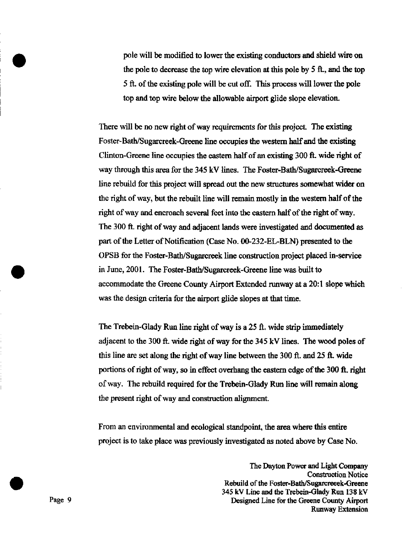pole will be modified to lower the existing conductors and shield wire on the pole to decrease the top wire elevation at this pole by 5 ft., and the top 5 ft. of the existmg pole will be cut off. This process will lower the pole top and top wire below the allowable airport glide slope elevation.

There will be no new right of way requirements for this project. The existing Foster-Bath/Sugarcreek-Greene line occupies the western hdf and the existing Clinton-Greene line occupies the eastern half of an existing 300 ft, wide right of way through this area for the 345 kV lines. The Foster-Bath/Sugarcreek-Greene line rebuild for this project will spread out the new structures somewhat wider on the right of way, but the rebuilt line will remain mostly in the western half of the right of way and encroach several feet into the eastern half of the right of way. The 300 ft. right of way and adjacent lands were investigated and documented as part of the Letter of Notification (Case No. 00-232-EL-BLN) presented to the OPSB for the Foster-Bath/Sugarcreek line construction project placed in-service in June, 2001. The Foster-Bath/Sugarcreek-Greene lme was built to accommodate the Greene County Airport Extended runway at a 20:1 slope which was the design criteria for the airport glide slopes at that time.

The Trebein-Glady Run line right of way is a 25 ft. wide strip immediately adjacent to the 300 ft. wide right of way for the 345 kV Imes. The wood poles of this line are set along the right of way line between the 300 ft. and 25 ft. wide portions of right of way, so in effect overhang the eastern edge of the 300 ft. right of way. The rebuild required for the Trebein-Glady Run line will remain along the present right of way and construction alignment.

From an environmental and ecological standpoint, the area where this entire project is to take place was previously investigated as noted above by Case No.

The Dayton Power and Light Company Construction Notice Rebuild of the Foster-Bath/Sugarcreeek-Greene 345 kV Line and the Trebein-Glady Run 138 kV Page 9 Designed Line for the Greene County Airport Runway Extension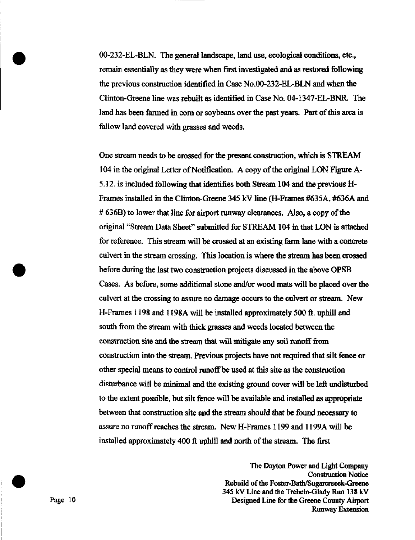00-232-EL-BLN. The general landscape, land use, ecological conditions, etc., remain essentially as they were when first investigated and as restored following the previous construction identified in Case No.OO-232-EL-BLN and when the Clinton-Greene line was rebuilt as identified in Case No. 04-1347-EL-BNR. The land has been farmed in corn or soybeans over the past years. Part of this area is fallow land covered with grasses and weeds.

One stream needs to be crossed for the present construction, which is STREAM 104 in the original Letter of Notification. A copy of the original LON Figure A-5.12. is included following that identifies both Stream 104 and the previous H-Frames installed in the Clinton-Greene 345 kV line (H-Frames #635A, #636A and # 636B) to lower that line for airport runway clearances. Also, a copy of the original "Stream Data Sheet" submitted for STREAM 104 in that LON is attached for reference. This stream will be crossed at an existing farm lme with a concrete culvert in the stream crossing. This location is where the stream has been crossed before during the last two construction projects discussed in the above OPSB Cases. As before, some additional stone and/or wood mats will be placed over the culvert at the crossing to assure no damage occurs to the culvert or stream. New H-Frames 1198 and 1198A will be installed approximately 500 ft. uphill and south from the stream with thick grasses and weeds located between the construction site and the stream that will mitigate any soil runoff from construction into the stream. Previous projects have not required that silt fence or other special means to control runoff be used at this site as the construction disturbance will be minimal and the existing ground cover will be left undisturbed to the extent possible, but silt fence will be available and installed as appropriate between that construction site and the stream should that be found necessary to assure no runoff reaches the stream. New H-Frames 1199 and 1199A will be installed approximately 400 ft uphill and north of the stream. The first

The Dayton Power and Light Company Construction Notice Rebuild of the Foster-Bath/Sugarcreeek-Greene 345 kV Line and the Trebein-Glady Run 138 kV Page 10 Designed Line for the Greene County Airport Runway Extension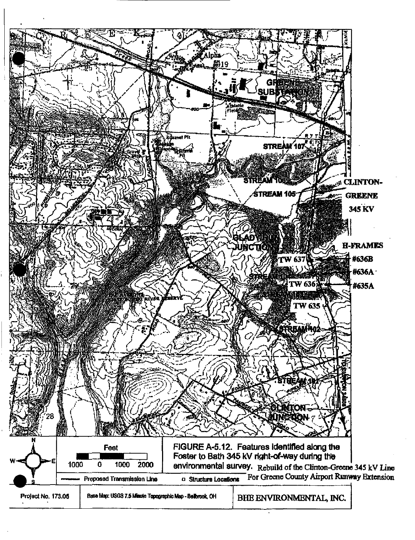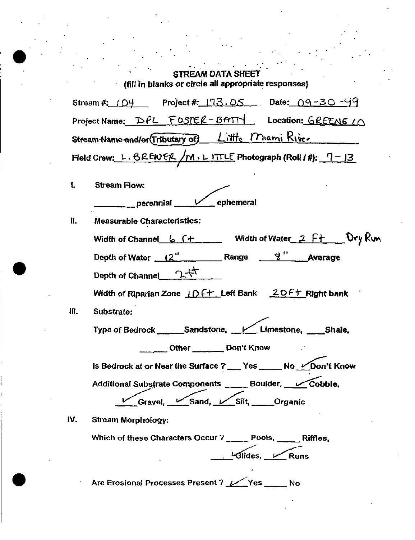|      | $\mathcal{L}_{\mathbf{L}}$ , where $\mathcal{L}_{\mathbf{L}}$<br><b>STREAM DATA SHEET</b><br>(fill in blanks or circle all appropriate responses) |
|------|---------------------------------------------------------------------------------------------------------------------------------------------------|
|      | Stream #: $104$ Project #: $173.05$ Date: 09-30-99                                                                                                |
|      | Project Name: DPL FOSTER-BATTY Location: GREENE IN                                                                                                |
|      | Stream Name and/or (Tributary of) Little Miami Rive.                                                                                              |
|      | Field Crew: L. BREWER /M. LITTLE Photograph (Roll / #): $7 - 13$                                                                                  |
| ſ.   | <b>Stream Flow:</b><br>perennial Vephemeral                                                                                                       |
| И.   | <b>Measurable Characteristics:</b>                                                                                                                |
|      | Width of Channel $6.7 +$ Width of Water 2 $F +$ Dry Run                                                                                           |
|      | Depth of Water $\frac{12^{4}}{2}$ Range $\frac{2^{11}}{2}$ Average                                                                                |
|      |                                                                                                                                                   |
|      | Width of Riparian Zone $\angle$ D $\angle$ + Left Bank $\angle$ D $\angle$ + Right bank                                                           |
| III. | Substrate:                                                                                                                                        |
|      | Type of Bedrock _______Sandstone, ___ Limestone, _____Shale.                                                                                      |
|      | Other _______________ Don't Know                                                                                                                  |
|      | Is Bedrock at or Near the Surface ?__ Yes ___ No LeDon't Know                                                                                     |
|      | Additional Substrate Components _____ Boulder, Cobble,                                                                                            |
|      | Gravel, Sand, Silt, Organic                                                                                                                       |
| IV.  | <b>Stream Morphology:</b>                                                                                                                         |
|      | Which of these Characters Occur? ____ Pools, ____ Riffles,                                                                                        |
|      | $\overline{\mathcal{G}}$ Glides, $\overline{\mathcal{G}}$ Runs                                                                                    |
|      | Are Erosional Processes Present ? // Yes<br><b>No.</b>                                                                                            |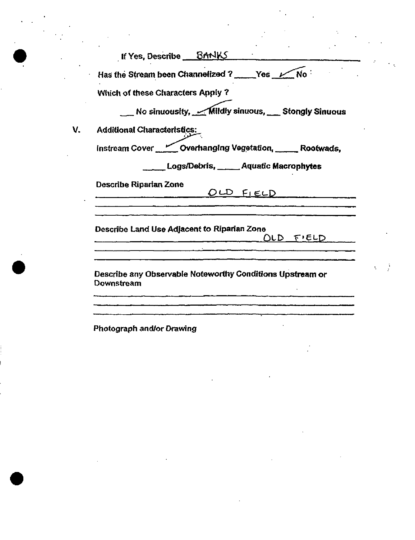| If Yes, Describe BANKS                                                  |
|-------------------------------------------------------------------------|
| Has the Stream been Channelized ? _____Yes _Mo:                         |
| Which of these Characters Apply ?                                       |
| No sinuousity, Mildly sinuous, Stongly Sinuous                          |
| <b>Additional Characteristics:</b>                                      |
| Instream Cover <u>Covertional</u> Overhanging Vegetation, Cootwads,     |
| Logs/Debris, _____ Aquatic Macrophytes                                  |
| <b>Describe Riparian Zone</b><br>OLD FIELD                              |
| Describe Land Use Adjacent to Riparian Zone<br>$OLD$ $FLELD$            |
| Describe any Observable Noteworthy Conditions Upstream or<br>Downstream |

 $\label{eq:2.1} \frac{1}{\sqrt{2}}\int_{\mathbb{R}^3}\frac{1}{\sqrt{2}}\left(\frac{1}{\sqrt{2}}\right)^2\frac{1}{\sqrt{2}}\left(\frac{1}{\sqrt{2}}\right)^2\frac{1}{\sqrt{2}}\left(\frac{1}{\sqrt{2}}\right)^2\frac{1}{\sqrt{2}}\left(\frac{1}{\sqrt{2}}\right)^2.$ 

 $\mathcal{L}_{\mathcal{A}}$ 

 $\mathcal{F}(\mathcal{F})$  and  $\mathcal{F}(\mathcal{F})$ 

 $\mathcal{L}^{\text{max}}_{\text{max}}$  and  $\mathcal{L}^{\text{max}}_{\text{max}}$ 

 $\mathcal{L}(\mathcal{L}^{\mathcal{L}})$  and  $\mathcal{L}(\mathcal{L}^{\mathcal{L}})$  and  $\mathcal{L}(\mathcal{L}^{\mathcal{L}})$ 

 $\sim 10^{11}$ 

 $\mathcal{L}_{\text{max}}$ 

Photograph and/or Drawing

 $\label{eq:2.1} \frac{1}{\sqrt{2}}\int_{\mathbb{R}^3}\frac{1}{\sqrt{2}}\left(\frac{1}{\sqrt{2}}\right)^2\left(\frac{1}{\sqrt{2}}\right)^2\left(\frac{1}{\sqrt{2}}\right)^2\left(\frac{1}{\sqrt{2}}\right)^2\left(\frac{1}{\sqrt{2}}\right)^2\left(\frac{1}{\sqrt{2}}\right)^2.$ 

 $\sim 10^{11}$  km  $^{-1}$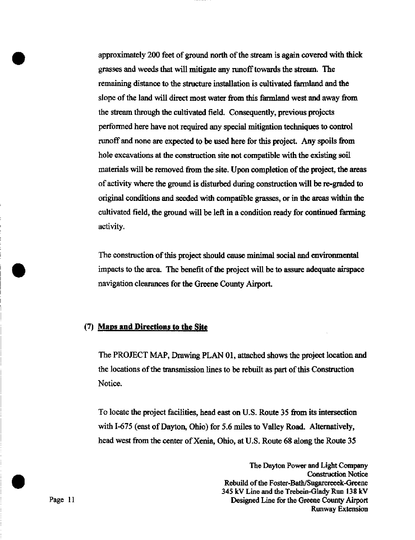approximately 200 feet of ground north of the stream is again covered with thick grasses and weeds that will mitigate any runoff towards the stream. The remaining distance to the structure installation is cultivated farmland and the slope of the land will direct most water from this farmland west and away from the stream through the cultivated field. Consequentiy, previous projects performed here have not required any special mitigation techniques to control runoff and none are expected to be used here for this project. Any spoils from hole excavations at the construction site not compatible with the existing soil materials will be removed from the site. Upon completion of the project, the areas of activity where the ground is disturbed during construction will be re-graded to origmal conditions and seeded with compatible grasses, or in the areas within the cultivated field, the ground will be left in a condition ready for continued farming activity.

The construction of this project should cause minimal social and environmental impacts to the area. The benefit of the project will be to assure adequate airspace navigation clearances for the Greene County Airport.

## (7) Maps and Directions to the Site

The PROJECT MAP, Drawing PLAN 01, attached shows the project location and the locations of the transmission lines to be rebuilt as part of this Construction Notice.

To locate the project facilities, head east on U.S. Route 35 from its intersection with 1-675 (east of Dayton, Ohio) for 5.6 miles to Valley Road. Alternatively, head west from the center of Xenia, Ohio, at U.S. Route 68 along the Route 35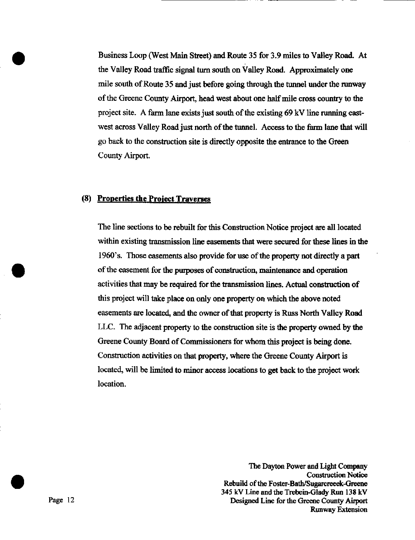Business Loop (West Main Street) and Route 35 for 3.9 miles to Valley Road. At the Valley Road traffic signal turn south on Valley Road. Approximately one mile south of Route 35 and just before going through the tunnel under the runway of the Greene County Airport, head west about one half mile cross country to the project site. A farm lane exists just south of the existing 69 kV line running eastwest across Valley Readjust north of the tunnel. Access to the farm lane that will go back to the construction site is directiy opposite the entrance to the Green County Airport.

## (8) Properties the Proiect Traverses

The line sections to be rebuilt for this Construction Notice project are all located within existing transmission line easements that were secured for these lines in the 1960's. Those easements also provide for use of the property not directiy a part of the easement for the purposes of construction, maintenance and operation activities that may be required for the transmission lines. Actual construction of this project will take place on only one property on which the above noted easements are located, and the owner of that property is Russ North Valley Road LLC. The adjacent property to the construction site is the property owned by the Greene County Board of Commissioners for whom this project is being done. Construction activities on that property, where the Greene County Airport is located, will be limited to minor access locations to get back to the project work location.

The Dayton Power and Light Company **Construction Notice** Rebuild of the Foster-Bath/Sugarcreeek-Greene 345 kV Line and the Trebein-Glady Run 138 kV Page 12 Designed Line for the Greene County Airport Runway Extension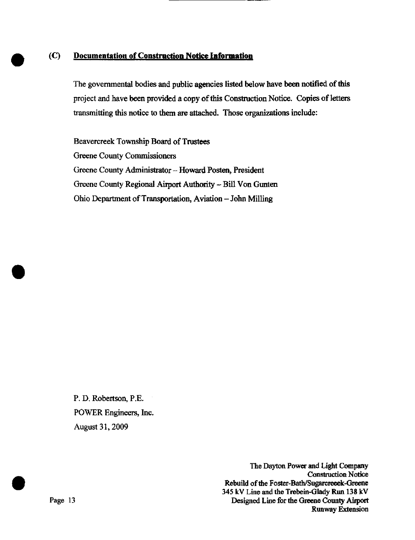# (C) Documentation of Construction Notice Information

The governmental bodies and public agencies listed below have been notified of this project and have been provided a copy of this Construction Notice. Copies of letters transmitting this notice to them are attached. Those organizations include:

Beavercreek Township Board of Trustees Greene County Commissioners Greene County Administrator - Howard Posten, President Greene County Regional Airport Authority - Bill Von Gunten Ohio Department of Transportation, Aviation - John Milling

P. D. Robertson, P.E. POWER Engineers, Inc. August 31,2009

The Dayton Power and Light Company **Construction Notice** Rebuild of the Foster-Bath/Sugarcreeek-Greene 345 kV Line and the Trebein-Glady Run 138 kV Page 13 Designed Line for the Greene County Airport Runway Extension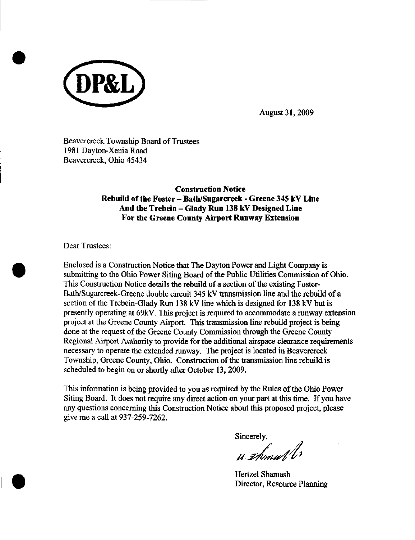

Beavercreek Township Board of Trustees 1981 Dayton-Xenia Road Beavercreek, Ohio 45434

> Construction Notice Rebuild of the Foster - Bath/Sugarcreek - Greene 345 kV Line And the Trebein - Glady Run 138 kV Designed Line For the Greene County Airport Runway Extension

Dear Trustees:

Enclosed is a Construction Notice that The Dayton Power and Light Company is submitting to the Ohio Power Siting Board of the Public Utilities Commission of Ohio. This Construction Notice details the rebuild of a section of the existing Foster-Bath/Sugarcreek-Greene double circuit 345 kV transmission line and the rebuild of a section of the Trebein-Glady Run 138 kV line which is designed for 138 kV but is presently operating at 69kV. This project is required to accommodate a runway extension project at the Greene County Airport. This transmission line rebuild project is being done at the request of the Greene County Commission through the Greene County Regional Airport Authority to provide for the additional airspace clearance requirements necessary to operate the extended runway. The project is located in Beavercreek Township, Greene County, Ohio. Construction of the transmission line rebuild is scheduled to begin on or shortly after October 13, 2009.

This information is being provided to you as required by the Rules of the Ohio Power Siting Board. It does not require any direct action on your part at this time. If you have any questions concerning this Construction Notice about this proposed project, please give me a call at 937-259-7262.

Sincerely,

 $\mathcal{A}$  31 $\mathcal{M}$ mi vl.

Hertzel Shamash Director, Resource Planning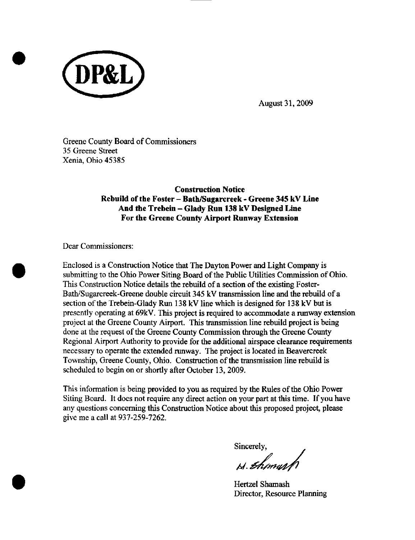

Greene County Board of Commissioners 35 Greene Street Xenia, Ohio 45385

> Construction Notice Rebuild of the Foster - Bath/Sugarcreek - Greene 345 kV Line And the Trebein - Glady Run 138 kV Designed Line For the Greene County Airport Runway Extension

Dear Commissioners:

Enclosed is a Construction Notice that The Dayton Power and Light Company is submitting to the Ohio Power Siting Board of the Public Utilities Commission of Ohio. This Construction Notice details the rebuild of a section of the existing Foster-Bath/Sugarcreek-Greene double circuit 345 kV transmission line and the rebuild of a section of the Trebein-Glady Run 138 kV line which is designed for 138 kV but is presently operating at 69kV. This project is required to accommodate a runway extension project at the Greene County Airport. This transmission line rebuild project is being done at the request of the Greene County Commission through the Greene County Regional Airport Authority to provide for the additional airspace clearance requirements necessary to operate the extended runway. The project is located in Beavercreek Township, Greene County, Ohio. Construction of the transmission line rebuild is scheduled to begin on or shortly after October 13, 2009.

This information is being provided to you as required by the Rules of the Ohio Power Siting Board. It does not require any direct action on your part at this time. If you have any questions concerning this Construction Notice about this proposed project, please give me a call at 937-259-7262.

Sincerely,<br>bl. *Bhimull* 

Hertzel Shamash Director, Resource Planning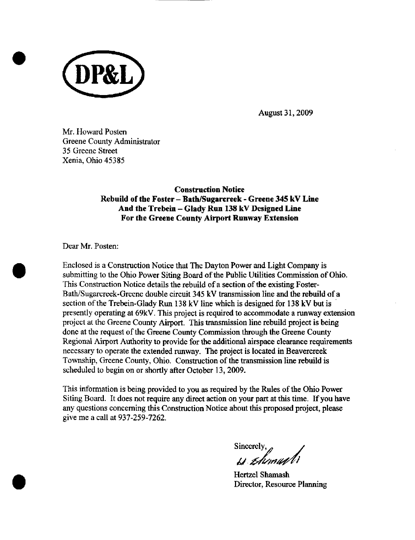

Mr. Howard Posten Greene County Administrator 35 Greene Street Xenia, Ohio 45385

> Construction Notice Rebuild of the Foster - Bath/Sugarcreek - Greene 345 kV Line And the Trebein - Glady Run 138 kV Designed Line For the Greene County Airport Runway Extension

Dear Mr. Posten:

Enclosed is a Construction Notice that The Dayton Power and Light Company is submitting to the Ohio Power Siting Board of the Public Utilities Commission of Ohio. This Construction Notice details the rebuild of a section of the existing Foster-Bath/Sugarcreek-Greene double circuit 345 kV transmission line and the rebuild of a section of the Trebein-Glady Run 138 kV line which is designed for 138 kV but is presently operating at 69kV. This project is required to accommodate a runway extension project at the Greene County Airport. This transmission line rebuild project is being done at the request of the Greene County Commission through the Greene County Regional Airport Authority to provide for the additional airspace clearance requirements necessary to operate the extended runway. The project is located in Beavercreek Township, Greene County, Ohio. Construction of the transmission line rebuild is scheduled to begin on or shortly after October 13,2009.

This information is being provided to you as required by the Rules of the Ohio Power Siting Board. It does not require any direct action on your part at this time. If you have any questions concerning this Construction Notice about this proposed project, please give me a call at 937-259-7262.

Sincerely,  $\mu$ 

Hertzel Shamash Director, Resource Planning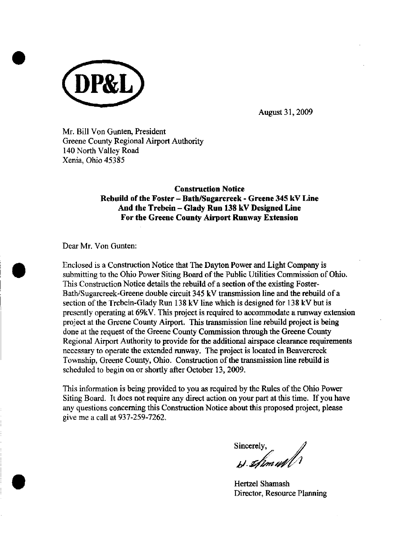

Mr. Bill Von Gunten, President Greene County Regional Airport Authority 140 North Valley Road Xenia, Ohio 45385

# Construction Notice Rebuild of the Foster - Bath/Sugarcreek - Greene 345 kV Line And the Trebein - Glady Run 138 kV Designed Line For the Greene County Airport Runway Extension

Dear Mr. Von Gunten:

Enclosed is a Construction Notice that The Dayton Power and Light Company is submitting to the Ohio Power Siting Board of the Public Utilities Commission of Ohio. This Construction Notice details the rebuild of a section of the existing Foster-Bath/Sugarcreek-Greene double circuit 345 kV transmission line and the rebuild of a section of the Trebein-Glady Run 138 kV line which is designed for 138 kV but is presently operating at 69kV. This project is required to accommodate a runway extension project at the Greene County Airport. This transmission line rebuild project is being done at the request of the Greene County Commission through the Greene County Regional Airport Authority to provide for the additional airspace clearance requirements necessary to operate the extended runway. The project is located in Beavercreek Township, Greene County, Ohio. Construction of the transmission line rebuild is scheduled to begin on or shortly after October 13, 2009.

This information is being provided to you as required by the Rules of the Ohio Power Siting Board. It does not require any direct action on your part at this time. If you have any questions concerning this Construction Notice about this proposed project, please give me a call at 937-259-7262.

Sincerely,  $\mu$  than with

Hertzel Shamash Director, Resource Planning